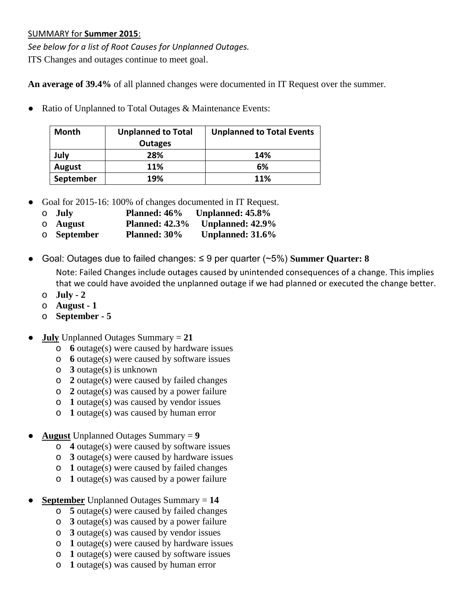## SUMMARY for **Summer 2015**:

*See below for a list of Root Causes for Unplanned Outages.* ITS Changes and outages continue to meet goal.

**An average of 39.4%** of all planned changes were documented in IT Request over the summer.

● Ratio of Unplanned to Total Outages & Maintenance Events:

| <b>Month</b> | <b>Unplanned to Total</b> | <b>Unplanned to Total Events</b> |  |  |  |  |
|--------------|---------------------------|----------------------------------|--|--|--|--|
|              | <b>Outages</b>            |                                  |  |  |  |  |
| July         | 28%                       | 14%                              |  |  |  |  |
| August       | <b>11%</b>                | 6%                               |  |  |  |  |
| September    | 19%                       | 11%                              |  |  |  |  |

- Goal for 2015-16: 100% of changes documented in IT Request.
	- o **July Planned: 46% Unplanned: 45.8%**
	- o **August Planned: 42.3% Unplanned: 42.9%**
	- o **September Planned: 30% Unplanned: 31.6%**
- Goal: Outages due to failed changes: ≤ 9 per quarter (~5%) **Summer Quarter: 8** Note: Failed Changes include outages caused by unintended consequences of a change. This implies

that we could have avoided the unplanned outage if we had planned or executed the change better.

- o **July - 2**
- o **August - 1**
- o **September - 5**
- **July** Unplanned Outages Summary  $= 21$ 
	- o **6** outage(s) were caused by hardware issues
	- o **6** outage(s) were caused by software issues
	- o **3** outage(s) is unknown
	- o **2** outage(s) were caused by failed changes
	- o **2** outage(s) was caused by a power failure
	- o **1** outage(s) was caused by vendor issues
	- o **1** outage(s) was caused by human error
- **August** Unplanned Outages Summary = **9**
	- o **4** outage(s) were caused by software issues
	- o **3** outage(s) were caused by hardware issues
	- o **1** outage(s) were caused by failed changes
	- o **1** outage(s) was caused by a power failure
- **September** Unplanned Outages Summary = **14**
	- o **5** outage(s) were caused by failed changes
	- o **3** outage(s) was caused by a power failure
	- o **3** outage(s) was caused by vendor issues
	- o **1** outage(s) were caused by hardware issues
	- o **1** outage(s) were caused by software issues
	- o **1** outage(s) was caused by human error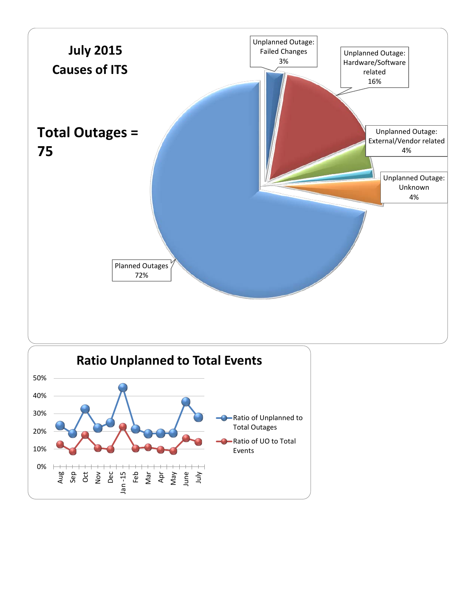

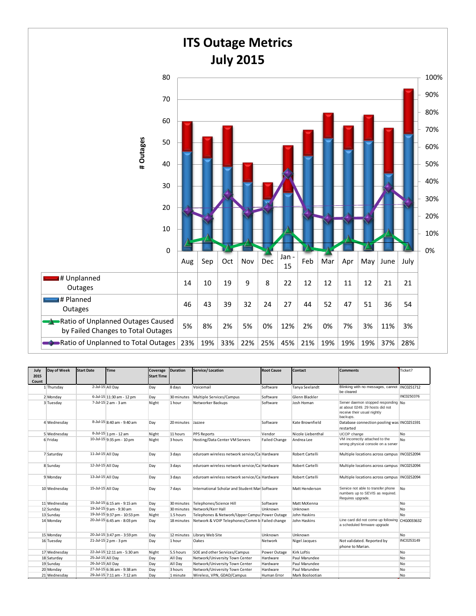

| July<br>2015<br>Count | Day of Week  | <b>Start Date</b> | <b>Time</b>                  | Coverage<br><b>Start Time</b> | <b>Duration</b>   | Service/Location                               | <b>Root Cause</b>    | Contact           | <b>Comments</b>                                                                                                    | Ticket?        |
|-----------------------|--------------|-------------------|------------------------------|-------------------------------|-------------------|------------------------------------------------|----------------------|-------------------|--------------------------------------------------------------------------------------------------------------------|----------------|
|                       | 1 Thursday   |                   | 2-Jul-15 All Day             | Day                           | 8 days            | Voicemail                                      | Software             | Tanya Seelandt    | Blinking with no messages, cannot  INC0251712<br>be cleared                                                        |                |
|                       | 2 Monday     |                   | 6-Jul-15 11:30 am - 12 pm    | Day                           | 30 minutes        | Multiple Services/Campus                       | Software             | Glenn Blackler    |                                                                                                                    | INC0250376     |
|                       | 3 Tuesday    |                   | 7-Jul-15 2 am - 3 am         | Night                         | 1 hour            | Networker Backups                              | Software             | Josh Homan        | Server daemon stopped responding No.<br>at about 0249, 29 hosts did not<br>receive their usual nightly<br>backups. |                |
|                       | 4 Wednesday  |                   | 8-Jul-15 8:40 am - 9:40 am   | Day                           | 20 minutes Jazzee |                                                | Software             | Kate Brownfield   | Database connection pooling was INC0251591<br>restarted                                                            |                |
|                       | 5 Wednesday  |                   | 8-Jul-15 1 pm - 12 am        | Night                         | 11 hours          | <b>PPS Reports</b>                             | Vendor               | Nicole Liebenthal | UCOP change                                                                                                        | No             |
|                       | 6 Friday     |                   | 10-Jul-15 9:35 pm - 10 pm    | Night                         | 3 hours           | Hosting/Data Center VM Servers                 | <b>Failed Change</b> | Andrea Lee        | VM incorrectly attached to the<br>wrong physical console on a server                                               | No             |
|                       | 7 Saturday   | 11-Jul-15 All Dav |                              | Day                           | 3 days            | eduroam wireless network service/Ca Hardware   |                      | Robert Cartelli   | Multiple locations across campus   INC0252094                                                                      |                |
|                       | 8 Sunday     | 12-Jul-15 All Day |                              | Day                           | 3 days            | eduroam wireless network service/Ca Hardware   |                      | Robert Cartelli   | Multiple locations across campus   INC0252094                                                                      |                |
|                       | 9 Monday     | 13-Jul-15 All Dav |                              | Day                           | 3 days            | eduroam wireless network service/Ca Hardware   |                      | Robert Cartelli   | Multiple locations across campus   INC0252094                                                                      |                |
|                       | 10 Wednesday | 15-Jul-15 All Dav |                              | Day                           | 7 days            | International Scholar and Student Man Software |                      | Matt Henderson    | Service not able to transfer phone<br>numbers up to SEVIS as required.<br>Requires upgrade.                        | N <sub>0</sub> |
|                       | 11 Wednesday |                   | 15-Jul-15 6:15 am - 9:15 am  | Day                           | 30 minutes        | Telephones/Science Hill                        | Software             | Matt McKenna      |                                                                                                                    | No             |
|                       | 12 Sunday    |                   | 19-Jul-15 9 am - 9:30 am     | Day                           | 30 minutes        | Network/Kerr Hall                              | Unknown              | Unknown           |                                                                                                                    | No             |
|                       | 13 Sunday    |                   | 19-Jul-15 9:37 pm - 10:53 pm | Night                         | 1.5 hours         | Telephones & Network/Upper Campus Power Outage |                      | John Haskins      |                                                                                                                    | N <sub>0</sub> |
|                       | 14 Monday    |                   | 20-Jul-15 6:45 am - 8:03 pm  | Day                           | 18 minutes        | Network & VOIP Telephones/Comm b Failed change |                      | John Haskins      | Line card did not come up following CHG0033632<br>a scheduled firmware upgrade                                     |                |
|                       | 15 Monday    |                   | 20-Jul-15 3:47 pm - 3:59 pm  | Day                           | 12 minutes        | Library Web Site                               | Unknown              | Unknown           |                                                                                                                    | No             |
|                       | 16 Tuesday   |                   | 21-Jul-15 2 pm - 3 pm        | Day                           | 1 hour            | Oakes                                          | Network              | Nigel Jacques     | Not validated. Reported by<br>phone to Marian.                                                                     | INC0253149     |
|                       | 17 Wednesday |                   | 22-Jul-15 12:11 am - 5:30 am | Night                         | 5.5 hours         | SOE and other Services/Campus                  | Power Outage         | Kirk Loftis       |                                                                                                                    | No             |
|                       | 18 Saturday  | 25-Jul-15 All Day |                              | Day                           | All Day           | Network/University Town Center                 | Hardware             | Paul Marundee     |                                                                                                                    | No             |
|                       | 19 Sunday    | 26-Jul-15 All Day |                              | Day                           | All Day           | Network/University Town Center                 | Hardware             | Paul Marundee     |                                                                                                                    | No             |
|                       | 20 Monday    |                   | 27-Jul-15 6:36 am - 9:38 am  | Day                           | 3 hours           | Network/University Town Center                 | Hardware             | Paul Marundee     |                                                                                                                    | No             |
|                       | 21 Wednesday |                   | 29-Jul-15 7:11 am - 7:12 am  | Day                           | 1 minute          | Wireless, VPN, GDAD/Campus                     | Human Error          | Mark Boolootian   |                                                                                                                    | <b>No</b>      |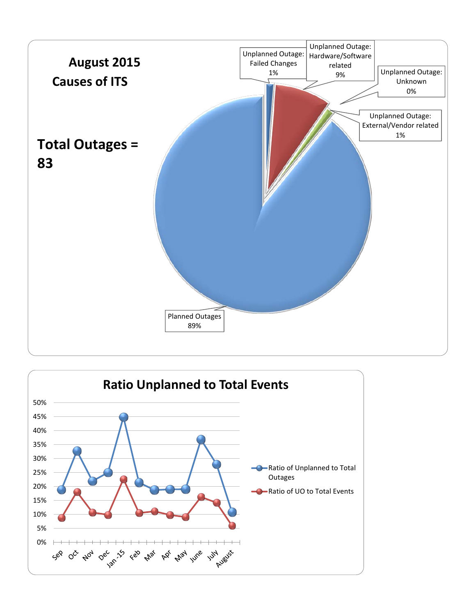

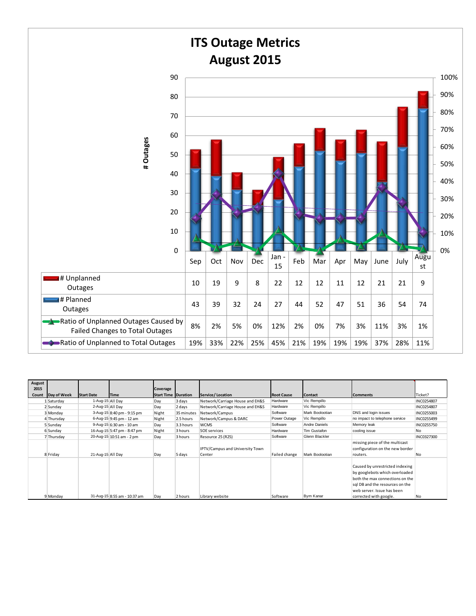

| August        |             |                   |                              |                                        |            |                                 |                   |                 |                                 |                |
|---------------|-------------|-------------------|------------------------------|----------------------------------------|------------|---------------------------------|-------------------|-----------------|---------------------------------|----------------|
| 2015<br>Count | Day of Week | <b>Start Date</b> | <b>Time</b>                  | Coverage<br><b>Start Time Duration</b> |            | Service/Location                | <b>Root Cause</b> | <b>Contact</b>  | <b>Comments</b>                 | Ticket?        |
|               | 1 Saturday  | 1-Aug-15 All Day  |                              | Day                                    | 3 days     | Network/Carriage House and EH&S | Hardware          | Vic Rempillo    |                                 | INC0254807     |
|               | 2 Sunday    | 2-Aug-15 All Day  |                              | Day                                    | 2 days     | Network/Carriage House and EH&S | Hardware          | Vic Rempillo    |                                 | INC0254807     |
|               | 3 Monday    |                   | 3-Aug-15 8:40 pm - 9:15 pm   | Night                                  | 35 minutes | Network/Campus                  | Software          | Mark Boolootian | DNS and login issues            | INC0255003     |
|               | 4 Thursday  |                   | 6-Aug-15 9:45 pm - 12 am     | Night                                  | 2.5 hours  | Network/Campus & DARC           | Power Outage      | Vic Rempillo    | no impact to telephone service  | INC0255499     |
|               | 5 Sunday    |                   | 9-Aug-15 6:30 am - 10 am     | Day                                    | 3.3 hours  | <b>WCMS</b>                     | Software          | Andre Daniels   | Memory leak                     | INC0255750     |
|               | 6 Sunday    |                   | 16-Aug-15 5:47 pm - 8:47 pm  | Night                                  | 3 hours    | SOE services                    | Hardware          | Tim Gustafon    | cooling issue                   | No.            |
|               | 7 Thursday  |                   | 20-Aug-15 10:51 am - 2 pm    | Day                                    | 3 hours    | Resource 25 (R25)               | Software          | Glenn Blackler  |                                 | INC0327300     |
|               |             |                   |                              |                                        |            |                                 |                   |                 | missing piece of the multicast  |                |
|               |             |                   |                              |                                        |            | IPTV/Campus and University Town |                   |                 | configuration on the new border |                |
|               | 8 Friday    | 21-Aug-15 All Day |                              | Day                                    | 5 days     | Center                          | Failed change     | Mark Boolootian | routers.                        | N <sub>0</sub> |
|               |             |                   |                              |                                        |            |                                 |                   |                 |                                 |                |
|               |             |                   |                              |                                        |            |                                 |                   |                 | Caused by unrestricted indexing |                |
|               |             |                   |                              |                                        |            |                                 |                   |                 | by googlebots which overloaded  |                |
|               |             |                   |                              |                                        |            |                                 |                   |                 | both the max connections on the |                |
|               |             |                   |                              |                                        |            |                                 |                   |                 | sql DB and the resources on the |                |
|               |             |                   |                              |                                        |            |                                 |                   |                 | web server. Issue has been      |                |
|               | 9 Monday    |                   | 31-Aug-15 8:55 am - 10:37 am | Dav                                    | 2 hours    | Library website                 | Software          | Bym Kanar       | corrected with google.          | No             |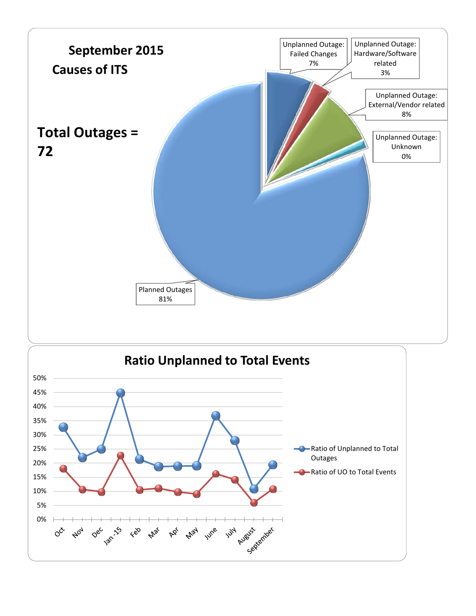

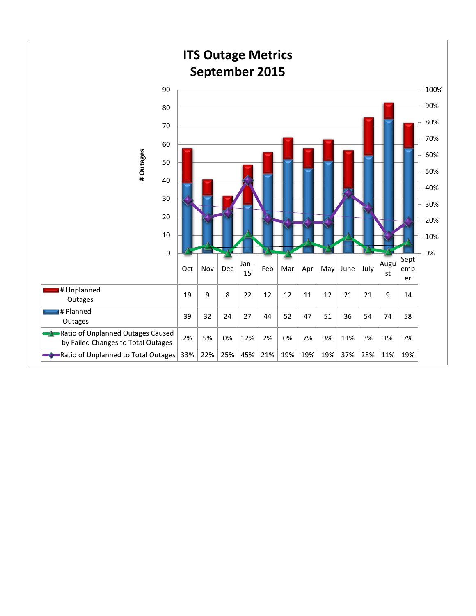